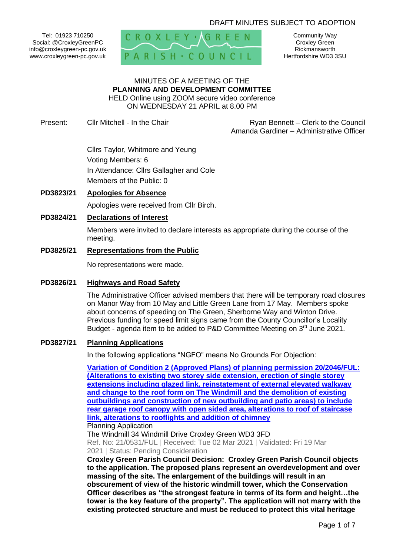## DRAFT MINUTES SUBJECT TO ADOPTION

Tel: 01923 710250 Social: @CroxleyGreenPC info@croxleygreen-pc.gov.uk www.croxleygreen-pc.gov.uk



Community Way Croxley Green Rickmansworth Hertfordshire WD3 3SU

# MINUTES OF A MEETING OF THE **PLANNING AND DEVELOPMENT COMMITTEE** HELD Online using ZOOM secure video conference

ON WEDNESDAY 21 APRIL at 8.00 PM

Present: Cllr Mitchell - In the Chair **Ryan Bennett** – Clerk to the Council Amanda Gardiner – Administrative Officer

> Cllrs Taylor, Whitmore and Yeung Voting Members: 6 In Attendance: Cllrs Gallagher and Cole Members of the Public: 0

## **PD3823/21 Apologies for Absence**

Apologies were received from Cllr Birch.

## **PD3824/21 Declarations of Interest**

Members were invited to declare interests as appropriate during the course of the meeting.

#### **PD3825/21 Representations from the Public**

No representations were made.

### **PD3826/21 Highways and Road Safety**

The Administrative Officer advised members that there will be temporary road closures on Manor Way from 10 May and Little Green Lane from 17 May. Members spoke about concerns of speeding on The Green, Sherborne Way and Winton Drive. Previous funding for speed limit signs came from the County Councillor's Locality Budget - agenda item to be added to P&D Committee Meeting on 3<sup>rd</sup> June 2021.

### **PD3827/21 Planning Applications**

In the following applications "NGFO" means No Grounds For Objection:

**[Variation of Condition 2 \(Approved Plans\) of planning permission 20/2046/FUL:](https://www3.threerivers.gov.uk/online-applications/applicationDetails.do?activeTab=summary&keyVal=QPCC3OQFMJO00&prevPage=inTray)  (Alterations to existing two storey [side extension, erection of single storey](https://www3.threerivers.gov.uk/online-applications/applicationDetails.do?activeTab=summary&keyVal=QPCC3OQFMJO00&prevPage=inTray)  [extensions including glazed link, reinstatement of external elevated walkway](https://www3.threerivers.gov.uk/online-applications/applicationDetails.do?activeTab=summary&keyVal=QPCC3OQFMJO00&prevPage=inTray)  [and change to the roof form on The Windmill and the demolition of existing](https://www3.threerivers.gov.uk/online-applications/applicationDetails.do?activeTab=summary&keyVal=QPCC3OQFMJO00&prevPage=inTray)  [outbuildings and construction of new outbuilding and patio areas\) to include](https://www3.threerivers.gov.uk/online-applications/applicationDetails.do?activeTab=summary&keyVal=QPCC3OQFMJO00&prevPage=inTray)  [rear garage roof canopy with open sided area, alterations to roof of staircase](https://www3.threerivers.gov.uk/online-applications/applicationDetails.do?activeTab=summary&keyVal=QPCC3OQFMJO00&prevPage=inTray)  [link, alterations to rooflights and addition of chimney](https://www3.threerivers.gov.uk/online-applications/applicationDetails.do?activeTab=summary&keyVal=QPCC3OQFMJO00&prevPage=inTray)** Planning Application

The Windmill 34 Windmill Drive Croxley Green WD3 3FD Ref. No: 21/0531/FUL | Received: Tue 02 Mar 2021 | Validated: Fri 19 Mar 2021 | Status: Pending Consideration

**Croxley Green Parish Council Decision: Croxley Green Parish Council objects to the application. The proposed plans represent an overdevelopment and over massing of the site. The enlargement of the buildings will result in an obscurement of view of the historic windmill tower, which the Conservation Officer describes as "the strongest feature in terms of its form and height…the tower is the key feature of the property". The application will not marry with the existing protected structure and must be reduced to protect this vital heritage**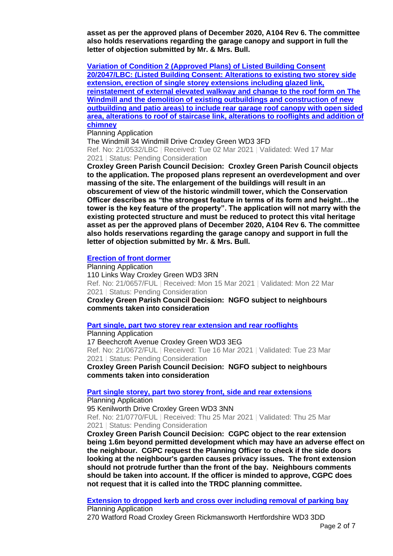**asset as per the approved plans of December 2020, A104 Rev 6. The committee also holds reservations regarding the garage canopy and support in full the letter of objection submitted by Mr. & Mrs. Bull.**

**[Variation of Condition 2 \(Approved Plans\) of Listed Building Consent](https://www3.threerivers.gov.uk/online-applications/applicationDetails.do?activeTab=summary&keyVal=QPCC4KQFMJP00&prevPage=inTray)  [20/2047/LBC: \(Listed Building Consent: Alterations to existing two storey side](https://www3.threerivers.gov.uk/online-applications/applicationDetails.do?activeTab=summary&keyVal=QPCC4KQFMJP00&prevPage=inTray)  [extension, erection of single storey extensions including glazed link,](https://www3.threerivers.gov.uk/online-applications/applicationDetails.do?activeTab=summary&keyVal=QPCC4KQFMJP00&prevPage=inTray)  [reinstatement of external elevated walkway and change to the roof form on The](https://www3.threerivers.gov.uk/online-applications/applicationDetails.do?activeTab=summary&keyVal=QPCC4KQFMJP00&prevPage=inTray)  [Windmill and the demolition of existing outbuildings and construction of new](https://www3.threerivers.gov.uk/online-applications/applicationDetails.do?activeTab=summary&keyVal=QPCC4KQFMJP00&prevPage=inTray)  [outbuilding and patio areas\) to include rear garage roof canopy with open sided](https://www3.threerivers.gov.uk/online-applications/applicationDetails.do?activeTab=summary&keyVal=QPCC4KQFMJP00&prevPage=inTray)  [area, alterations to roof of staircase link, alterations to rooflights and addition of](https://www3.threerivers.gov.uk/online-applications/applicationDetails.do?activeTab=summary&keyVal=QPCC4KQFMJP00&prevPage=inTray)  [chimney](https://www3.threerivers.gov.uk/online-applications/applicationDetails.do?activeTab=summary&keyVal=QPCC4KQFMJP00&prevPage=inTray)**

#### Planning Application

The Windmill 34 Windmill Drive Croxley Green WD3 3FD Ref. No: 21/0532/LBC | Received: Tue 02 Mar 2021 | Validated: Wed 17 Mar 2021 | Status: Pending Consideration

**Croxley Green Parish Council Decision: Croxley Green Parish Council objects to the application. The proposed plans represent an overdevelopment and over massing of the site. The enlargement of the buildings will result in an obscurement of view of the historic windmill tower, which the Conservation Officer describes as "the strongest feature in terms of its form and height…the tower is the key feature of the property". The application will not marry with the existing protected structure and must be reduced to protect this vital heritage asset as per the approved plans of December 2020, A104 Rev 6. The committee also holds reservations regarding the garage canopy and support in full the letter of objection submitted by Mr. & Mrs. Bull.**

# **[Erection of front dormer](https://www3.threerivers.gov.uk/online-applications/applicationDetails.do?activeTab=summary&keyVal=QPWE8SQFMPX00&prevPage=inTray)**

Planning Application 110 Links Way Croxley Green WD3 3RN Ref. No: 21/0657/FUL | Received: Mon 15 Mar 2021 | Validated: Mon 22 Mar 2021 | Status: Pending Consideration **Croxley Green Parish Council Decision: NGFO subject to neighbours comments taken into consideration**

#### **[Part single, part two storey rear extension and rear rooflights](https://www3.threerivers.gov.uk/online-applications/applicationDetails.do?activeTab=summary&keyVal=QQ1YDSQFMR000&prevPage=inTray)**

Planning Application 17 Beechcroft Avenue Croxley Green WD3 3EG Ref. No: 21/0672/FUL | Received: Tue 16 Mar 2021 | Validated: Tue 23 Mar 2021 | Status: Pending Consideration

**Croxley Green Parish Council Decision: NGFO subject to neighbours comments taken into consideration**

#### **[Part single storey, part two storey front, side and rear extensions](https://www3.threerivers.gov.uk/online-applications/applicationDetails.do?activeTab=summary&keyVal=QQIXGMQFMW400&prevPage=inTray)**

Planning Application 95 Kenilworth Drive Croxley Green WD3 3NN Ref. No: 21/0770/FUL | Received: Thu 25 Mar 2021 | Validated: Thu 25 Mar 2021 | Status: Pending Consideration

**Croxley Green Parish Council Decision: CGPC object to the rear extension being 1.6m beyond permitted development which may have an adverse effect on the neighbour. CGPC request the Planning Officer to check if the side doors looking at the neighbour's garden causes privacy issues. The front extension should not protrude further than the front of the bay. Neighbours comments should be taken into account. If the officer is minded to approve, CGPC does not request that it is called into the TRDC planning committee.**

**[Extension to dropped kerb and cross over including removal of parking bay](https://www3.threerivers.gov.uk/online-applications/applicationDetails.do?activeTab=summary&keyVal=QQKGY9QFMW900&prevPage=inTray)** Planning Application

270 Watford Road Croxley Green Rickmansworth Hertfordshire WD3 3DD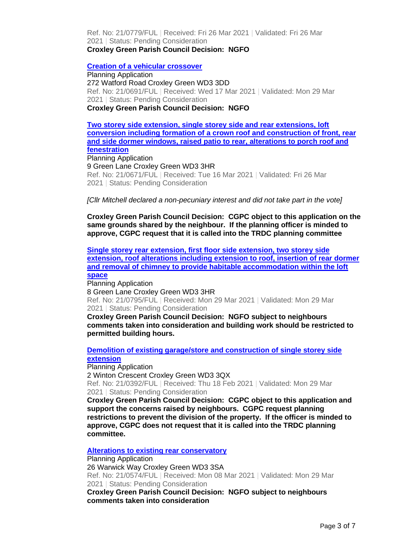Ref. No: 21/0779/FUL | Received: Fri 26 Mar 2021 | Validated: Fri 26 Mar 2021 | Status: Pending Consideration **Croxley Green Parish Council Decision: NGFO**

### **[Creation of a vehicular crossover](https://www3.threerivers.gov.uk/online-applications/applicationDetails.do?activeTab=summary&keyVal=QQ441GQFMRO00&prevPage=inTray)**

Planning Application 272 Watford Road Croxley Green WD3 3DD Ref. No: 21/0691/FUL | Received: Wed 17 Mar 2021 | Validated: Mon 29 Mar 2021 | Status: Pending Consideration **Croxley Green Parish Council Decision: NGFO**

**[Two storey side extension, single storey side and rear extensions, loft](https://www3.threerivers.gov.uk/online-applications/applicationDetails.do?activeTab=summary&keyVal=QQ1YD7QFMQY00&prevPage=inTray)  [conversion including formation of a crown roof and construction of front, rear](https://www3.threerivers.gov.uk/online-applications/applicationDetails.do?activeTab=summary&keyVal=QQ1YD7QFMQY00&prevPage=inTray)  [and side dormer windows, raised patio to rear, alterations to porch roof and](https://www3.threerivers.gov.uk/online-applications/applicationDetails.do?activeTab=summary&keyVal=QQ1YD7QFMQY00&prevPage=inTray)  [fenestration](https://www3.threerivers.gov.uk/online-applications/applicationDetails.do?activeTab=summary&keyVal=QQ1YD7QFMQY00&prevPage=inTray)** Planning Application 9 Green Lane Croxley Green WD3 3HR Ref. No: 21/0671/FUL | Received: Tue 16 Mar 2021 | Validated: Fri 26 Mar

2021 | Status: Pending Consideration

*[Cllr Mitchell declared a non-pecuniary interest and did not take part in the vote]*

**Croxley Green Parish Council Decision: CGPC object to this application on the same grounds shared by the neighbour. If the planning officer is minded to approve, CGPC request that it is called into the TRDC planning committee**

**[Single storey rear extension, first floor side extension, two storey side](https://www3.threerivers.gov.uk/online-applications/applicationDetails.do?activeTab=summary&keyVal=QQMBPUQFMXB00&prevPage=inTray)  [extension, roof alterations including extension to roof, insertion of rear dormer](https://www3.threerivers.gov.uk/online-applications/applicationDetails.do?activeTab=summary&keyVal=QQMBPUQFMXB00&prevPage=inTray)  [and removal of chimney to provide habitable accommodation within the loft](https://www3.threerivers.gov.uk/online-applications/applicationDetails.do?activeTab=summary&keyVal=QQMBPUQFMXB00&prevPage=inTray)  [space](https://www3.threerivers.gov.uk/online-applications/applicationDetails.do?activeTab=summary&keyVal=QQMBPUQFMXB00&prevPage=inTray)**

Planning Application

8 Green Lane Croxley Green WD3 3HR Ref. No: 21/0795/FUL | Received: Mon 29 Mar 2021 | Validated: Mon 29 Mar 2021 | Status: Pending Consideration

**Croxley Green Parish Council Decision: NGFO subject to neighbours comments taken into consideration and building work should be restricted to permitted building hours.**

**[Demolition of existing garage/store and construction of single storey side](https://www3.threerivers.gov.uk/online-applications/applicationDetails.do?activeTab=summary&keyVal=QOQ42VQFMDL00&prevPage=inTray)  [extension](https://www3.threerivers.gov.uk/online-applications/applicationDetails.do?activeTab=summary&keyVal=QOQ42VQFMDL00&prevPage=inTray)**

Planning Application 2 Winton Crescent Croxley Green WD3 3QX Ref. No: 21/0392/FUL | Received: Thu 18 Feb 2021 | Validated: Mon 29 Mar 2021 | Status: Pending Consideration

**Croxley Green Parish Council Decision: CGPC object to this application and support the concerns raised by neighbours. CGPC request planning restrictions to prevent the division of the property. If the officer is minded to approve, CGPC does not request that it is called into the TRDC planning committee.**

**[Alterations to existing rear conservatory](https://www3.threerivers.gov.uk/online-applications/applicationDetails.do?activeTab=summary&keyVal=QPJFKMQFMLN00&prevPage=inTray)**

Planning Application 26 Warwick Way Croxley Green WD3 3SA Ref. No: 21/0574/FUL | Received: Mon 08 Mar 2021 | Validated: Mon 29 Mar 2021 | Status: Pending Consideration

**Croxley Green Parish Council Decision: NGFO subject to neighbours comments taken into consideration**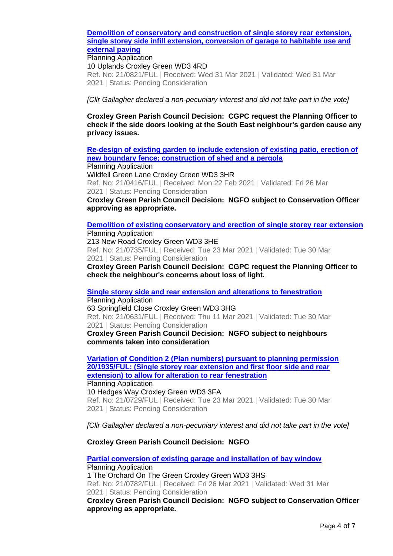## **[Demolition of conservatory and construction of single storey rear extension,](https://www3.threerivers.gov.uk/online-applications/applicationDetails.do?activeTab=summary&keyVal=QQTNJWQFMYE00&prevPage=inTray)  [single storey side infill extension, conversion of garage to habitable use and](https://www3.threerivers.gov.uk/online-applications/applicationDetails.do?activeTab=summary&keyVal=QQTNJWQFMYE00&prevPage=inTray)  [external paving](https://www3.threerivers.gov.uk/online-applications/applicationDetails.do?activeTab=summary&keyVal=QQTNJWQFMYE00&prevPage=inTray)**

Planning Application 10 Uplands Croxley Green WD3 4RD Ref. No: 21/0821/FUL | Received: Wed 31 Mar 2021 | Validated: Wed 31 Mar 2021 | Status: Pending Consideration

## *[Cllr Gallagher declared a non-pecuniary interest and did not take part in the vote]*

**Croxley Green Parish Council Decision: CGPC request the Planning Officer to check if the side doors looking at the South East neighbour's garden cause any privacy issues.**

## **[Re-design of existing garden to include extension of existing patio, erection of](https://www3.threerivers.gov.uk/online-applications/applicationDetails.do?activeTab=summary&keyVal=QOX7MAQFMEW00&prevPage=inTray)  [new boundary fence; construction](https://www3.threerivers.gov.uk/online-applications/applicationDetails.do?activeTab=summary&keyVal=QOX7MAQFMEW00&prevPage=inTray) of shed and a pergola**

Planning Application Wildfell Green Lane Croxley Green WD3 3HR Ref. No: 21/0416/FUL | Received: Mon 22 Feb 2021 | Validated: Fri 26 Mar 2021 | Status: Pending Consideration

**Croxley Green Parish Council Decision: NGFO subject to Conservation Officer approving as appropriate.**

#### **[Demolition of existing conservatory and erection of single storey rear extension](https://www3.threerivers.gov.uk/online-applications/applicationDetails.do?activeTab=summary&keyVal=QQEX35QFMUD00&prevPage=inTray)** Planning Application

213 New Road Croxley Green WD3 3HE Ref. No: 21/0735/FUL | Received: Tue 23 Mar 2021 | Validated: Tue 30 Mar 2021 | Status: Pending Consideration

**Croxley Green Parish Council Decision: CGPC request the Planning Officer to check the neighbour's concerns about loss of light.**

# **[Single storey side and rear extension and alterations to fenestration](https://www3.threerivers.gov.uk/online-applications/applicationDetails.do?activeTab=summary&keyVal=QPT037QFMOO00&prevPage=inTray)**

Planning Application 63 Springfield Close Croxley Green WD3 3HG Ref. No: 21/0631/FUL | Received: Thu 11 Mar 2021 | Validated: Tue 30 Mar 2021 | Status: Pending Consideration

**Croxley Green Parish Council Decision: NGFO subject to neighbours comments taken into consideration**

**[Variation of Condition 2 \(Plan numbers\) pursuant to planning permission](https://www3.threerivers.gov.uk/online-applications/applicationDetails.do?activeTab=summary&keyVal=QQEWYVQFMU000&prevPage=inTray)  [20/1935/FUL: \(Single storey rear extension and first floor side and rear](https://www3.threerivers.gov.uk/online-applications/applicationDetails.do?activeTab=summary&keyVal=QQEWYVQFMU000&prevPage=inTray)  [extension\) to allow for alteration to rear fenestration](https://www3.threerivers.gov.uk/online-applications/applicationDetails.do?activeTab=summary&keyVal=QQEWYVQFMU000&prevPage=inTray)**

Planning Application 10 Hedges Way Croxley Green WD3 3FA Ref. No: 21/0729/FUL | Received: Tue 23 Mar 2021 | Validated: Tue 30 Mar 2021 | Status: Pending Consideration

## *[Cllr Gallagher declared a non-pecuniary interest and did not take part in the vote]*

## **Croxley Green Parish Council Decision: NGFO**

**[Partial conversion of existing garage and installation of bay window](https://www3.threerivers.gov.uk/online-applications/applicationDetails.do?activeTab=summary&keyVal=QQKH0MQFMWG00&prevPage=inTray)** Planning Application 1 The Orchard On The Green Croxley Green WD3 3HS Ref. No: 21/0782/FUL | Received: Fri 26 Mar 2021 | Validated: Wed 31 Mar 2021 | Status: Pending Consideration

**Croxley Green Parish Council Decision: NGFO subject to Conservation Officer approving as appropriate.**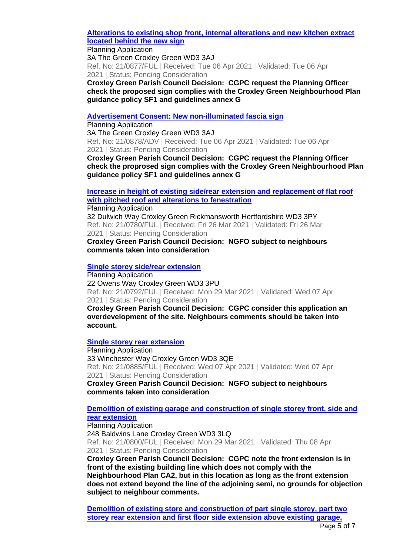**[Alterations to existing shop front, internal alterations and new kitchen extract](https://www3.threerivers.gov.uk/online-applications/applicationDetails.do?activeTab=summary&keyVal=QR52M6QFN1M00&prevPage=inTray)  [located behind the new sign](https://www3.threerivers.gov.uk/online-applications/applicationDetails.do?activeTab=summary&keyVal=QR52M6QFN1M00&prevPage=inTray)**

Planning Application

3A The Green Croxley Green WD3 3AJ Ref. No: 21/0877/FUL | Received: Tue 06 Apr 2021 | Validated: Tue 06 Apr 2021 | Status: Pending Consideration

**Croxley Green Parish Council Decision: CGPC request the Planning Officer check the proposed sign complies with the Croxley Green Neighbourhood Plan guidance policy SF1 and guidelines annex G**

**[Advertisement Consent: New non-illuminated fascia sign](https://www3.threerivers.gov.uk/online-applications/applicationDetails.do?activeTab=summary&keyVal=QR52MBQFN1N00&prevPage=inTray)**

Planning Application 3A The Green Croxley Green WD3 3AJ Ref. No: 21/0878/ADV | Received: Tue 06 Apr 2021 | Validated: Tue 06 Apr 2021 | Status: Pending Consideration

**Croxley Green Parish Council Decision: CGPC request the Planning Officer check the proprosed sign complies with the Croxley Green Neighbourhood Plan guidance policy SF1 and guidelines annex G**

**[Increase in height of existing side/rear extension and replacement of flat roof](https://www3.threerivers.gov.uk/online-applications/applicationDetails.do?activeTab=summary&keyVal=QQKGZOQFMWC00&prevPage=inTray)  [with pitched roof and alterations](https://www3.threerivers.gov.uk/online-applications/applicationDetails.do?activeTab=summary&keyVal=QQKGZOQFMWC00&prevPage=inTray) to fenestration**

Planning Application 32 Dulwich Way Croxley Green Rickmansworth Hertfordshire WD3 3PY Ref. No: 21/0780/FUL | Received: Fri 26 Mar 2021 | Validated: Fri 26 Mar 2021 | Status: Pending Consideration **Croxley Green Parish Council Decision: NGFO subject to neighbours** 

**comments taken into consideration**

**[Single storey side/rear extension](https://www3.threerivers.gov.uk/online-applications/applicationDetails.do?activeTab=summary&keyVal=QQMBOIQFMX500&prevPage=inTray)**

Planning Application 22 Owens Way Croxley Green WD3 3PU Ref. No: 21/0792/FUL | Received: Mon 29 Mar 2021 | Validated: Wed 07 Apr 2021 | Status: Pending Consideration

**Croxley Green Parish Council Decision: CGPC consider this application an overdevelopment of the site. Neighbours comments should be taken into account.**

**[Single storey rear extension](https://www3.threerivers.gov.uk/online-applications/applicationDetails.do?activeTab=summary&keyVal=QR6MBHQFN2100&prevPage=inTray)**

Planning Application 33 Winchester Way Croxley Green WD3 3QE Ref. No: 21/0885/FUL | Received: Wed 07 Apr 2021 | Validated: Wed 07 Apr 2021 | Status: Pending Consideration

**Croxley Green Parish Council Decision: NGFO subject to neighbours comments taken into consideration**

**[Demolition of existing garage and construction of single storey front, side and](https://www3.threerivers.gov.uk/online-applications/applicationDetails.do?activeTab=summary&keyVal=QQQ9A5QFMXR00&prevPage=inTray)  [rear extension](https://www3.threerivers.gov.uk/online-applications/applicationDetails.do?activeTab=summary&keyVal=QQQ9A5QFMXR00&prevPage=inTray)**

Planning Application 248 Baldwins Lane Croxley Green WD3 3LQ Ref. No: 21/0800/FUL | Received: Mon 29 Mar 2021 | Validated: Thu 08 Apr 2021 | Status: Pending Consideration

**Croxley Green Parish Council Decision: CGPC note the front extension is in front of the existing building line which does not comply with the Neighbourhood Plan CA2, but in this location as long as the front extension does not extend beyond the line of the adjoining semi, no grounds for objection subject to neighbour comments.**

**[Demolition of existing store and construction of part single storey, part two](https://www3.threerivers.gov.uk/online-applications/applicationDetails.do?activeTab=summary&keyVal=QQRSXGQFMY600&prevPage=inTray)  [storey rear extension and first floor side extension above existing garage,](https://www3.threerivers.gov.uk/online-applications/applicationDetails.do?activeTab=summary&keyVal=QQRSXGQFMY600&prevPage=inTray)**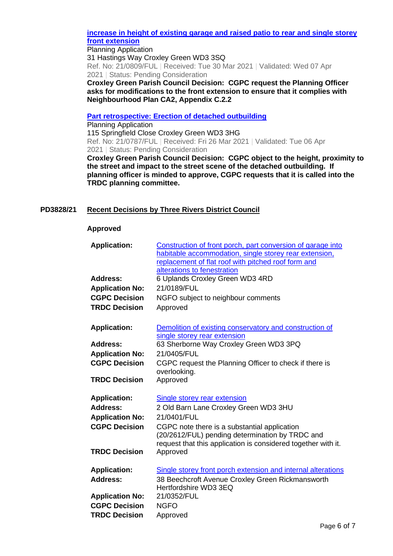## **[increase in height of existing garage and raised patio to rear and single storey](https://www3.threerivers.gov.uk/online-applications/applicationDetails.do?activeTab=summary&keyVal=QQRSXGQFMY600&prevPage=inTray)  [front extension](https://www3.threerivers.gov.uk/online-applications/applicationDetails.do?activeTab=summary&keyVal=QQRSXGQFMY600&prevPage=inTray)**

Planning Application 31 Hastings Way Croxley Green WD3 3SQ Ref. No: 21/0809/FUL | Received: Tue 30 Mar 2021 | Validated: Wed 07 Apr 2021 | Status: Pending Consideration

**Croxley Green Parish Council Decision: CGPC request the Planning Officer asks for modifications to the front extension to ensure that it complies with Neighbourhood Plan CA2, Appendix C.2.2**

**[Part retrospective: Erection of detached outbuilding](https://www3.threerivers.gov.uk/online-applications/applicationDetails.do?activeTab=summary&keyVal=QQKS36QFMWR00&prevPage=inTray)**

Planning Application 115 Springfield Close Croxley Green WD3 3HG Ref. No: 21/0787/FUL | Received: Fri 26 Mar 2021 | Validated: Tue 06 Apr 2021 | Status: Pending Consideration **Croxley Green Parish Council Decision: CGPC object to the height, proximity to** 

**the street and impact to the street scene of the detached outbuilding. If planning officer is minded to approve, CGPC requests that it is called into the TRDC planning committee.**

## **PD3828/21 Recent Decisions by Three Rivers District Council**

## **Approved**

| <b>Application:</b>    | Construction of front porch, part conversion of garage into<br>habitable accommodation, single storey rear extension,<br>replacement of flat roof with pitched roof form and<br>alterations to fenestration |
|------------------------|-------------------------------------------------------------------------------------------------------------------------------------------------------------------------------------------------------------|
| <b>Address:</b>        | 6 Uplands Croxley Green WD3 4RD                                                                                                                                                                             |
| <b>Application No:</b> | 21/0189/FUL                                                                                                                                                                                                 |
| <b>CGPC Decision</b>   | NGFO subject to neighbour comments                                                                                                                                                                          |
| <b>TRDC Decision</b>   | Approved                                                                                                                                                                                                    |
| <b>Application:</b>    | Demolition of existing conservatory and construction of<br>single storey rear extension                                                                                                                     |
| Address:               | 63 Sherborne Way Croxley Green WD3 3PQ                                                                                                                                                                      |
| <b>Application No:</b> | 21/0405/FUL                                                                                                                                                                                                 |
| <b>CGPC Decision</b>   | CGPC request the Planning Officer to check if there is<br>overlooking.                                                                                                                                      |
| <b>TRDC Decision</b>   | Approved                                                                                                                                                                                                    |
| <b>Application:</b>    | <b>Single storey rear extension</b>                                                                                                                                                                         |
| Address:               | 2 Old Barn Lane Croxley Green WD3 3HU                                                                                                                                                                       |
| <b>Application No:</b> | 21/0401/FUL                                                                                                                                                                                                 |
| <b>CGPC Decision</b>   | CGPC note there is a substantial application<br>(20/2612/FUL) pending determination by TRDC and<br>request that this application is considered together with it.                                            |
| <b>TRDC Decision</b>   | Approved                                                                                                                                                                                                    |
| <b>Application:</b>    | Single storey front porch extension and internal alterations                                                                                                                                                |
| <b>Address:</b>        | 38 Beechcroft Avenue Croxley Green Rickmansworth<br>Hertfordshire WD3 3EQ                                                                                                                                   |
| <b>Application No:</b> | 21/0352/FUL                                                                                                                                                                                                 |
| <b>CGPC Decision</b>   | <b>NGFO</b>                                                                                                                                                                                                 |
| <b>TRDC Decision</b>   | Approved                                                                                                                                                                                                    |